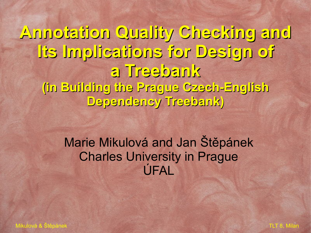**Annotation Quality Checking and Its Implications for Design of a Treebank (in Building the Prague Czech-English Dependency Treebank)**

#### Marie Mikulová and Jan Štěpánek Charles University in Prague ÚFAL

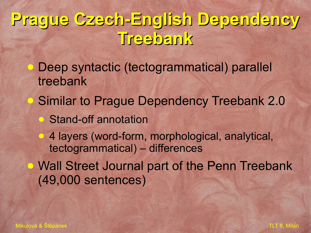### **Prague Czech-English Dependency Treebank**

- Deep syntactic (tectogrammatical) parallel treebank
- **Similar to Prague Dependency Treebank 2.0**
- **B** Stand-off annotation
- 4 layers (word-form, morphological, analytical, tectogrammatical) – differences
- **Wall Street Journal part of the Penn Treebank** (49,000 sentences)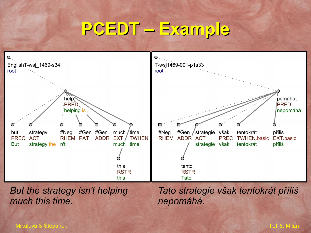### **PCEDT – Example**



*But the strategy isn't helping much this time.* 

*Tato strategie však tentokrát příliš nepomáhá.*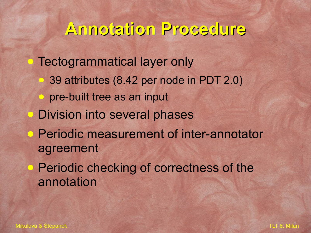#### **Annotation Procedure**

**• Tectogrammatical layer only** ● 39 attributes (8.42 per node in PDT 2.0) ● pre-built tree as an input **• Division into several phases** ● Periodic measurement of inter-annotator agreement **• Periodic checking of correctness of the** annotation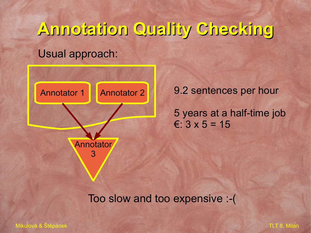## **Annotation Quality Checking** Usual approach:



9.2 sentences per hour

5 years at a half-time job  $\epsilon$ : 3 x 5 = 15

Too slow and too expensive :-(

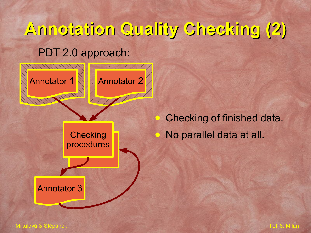



Checking of finished data. No parallel data at all.

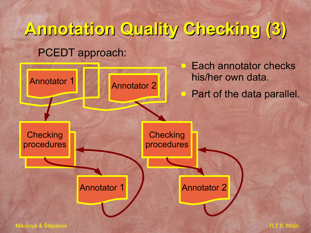## **Annotation Quality Checking (3)** PCEDT approach:



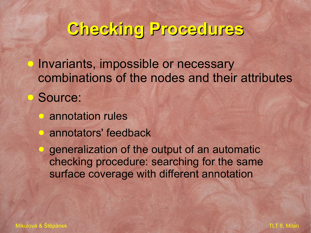### **Checking Procedures**

Invariants, impossible or necessary combinations of the nodes and their attributes Source:

- annotation rules
- **annotators' feedback**

**D** generalization of the output of an automatic checking procedure: searching for the same surface coverage with different annotation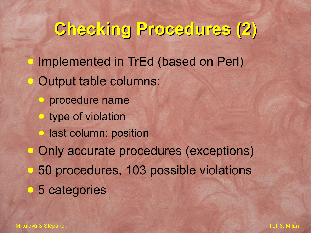### **Checking Procedures (2)**

- Implemented in TrEd (based on Perl) Output table columns:
- procedure name
- **type of violation**
- **last column: position**
- Only accurate procedures (exceptions)
- **50 procedures, 103 possible violations**
- 5 categories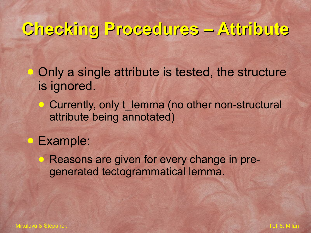### **Checking Procedures – Attribute**

Only a single attribute is tested, the structure is ignored.

• Currently, only t\_lemma (no other non-structural attribute being annotated)

● Example:

Reasons are given for every change in pregenerated tectogrammatical lemma.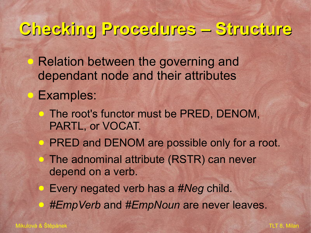#### **Checking Procedures – Structure**

**• Relation between the governing and** dependant node and their attributes

● Examples:

- **The root's functor must be PRED, DENOM,** PARTL, or VOCAT.
- **PRED and DENOM are possible only for a root.**
- **The adnominal attribute (RSTR) can never** depend on a verb.
- Every negated verb has a #Neg child.
- *#EmpVerb* and *#EmpNoun* are never leaves.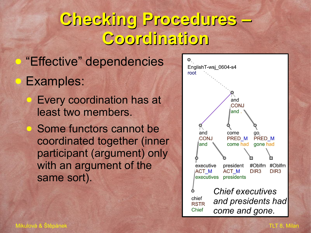### **Checking Procedures – Coordination**

- **"Effective" dependencies** ● Examples:
	- **Every coordination has at** least two members.
	- Some functors cannot be coordinated together (inner participant (argument) only with an argument of the same sort).

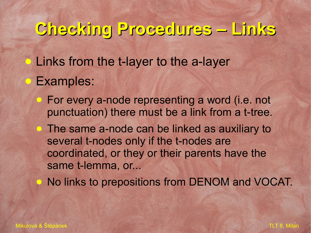### **Checking Procedures – Links**

**• Links from the t-layer to the a-layer Examples:** 

- For every a-node representing a word (i.e. not punctuation) there must be a link from a t-tree.
- **The same a-node can be linked as auxiliary to** several t-nodes only if the t-nodes are coordinated, or they or their parents have the same t-lemma, or...

● No links to prepositions from DENOM and VOCAT.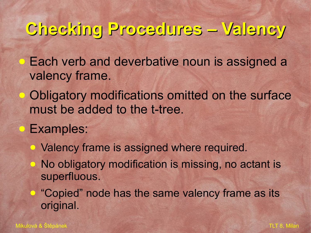#### **Checking Procedures – Valency**

**• Each verb and deverbative noun is assigned a** valency frame.

- Obligatory modifications omitted on the surface must be added to the t-tree.
- Examples:
	- Valency frame is assigned where required.
		- No obligatory modification is missing, no actant is superfluous.
	- "Copied" node has the same valency frame as its original.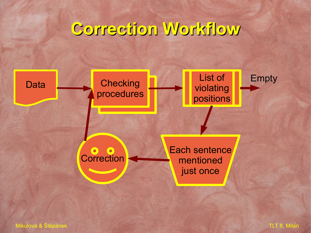### **Correction Workflow**



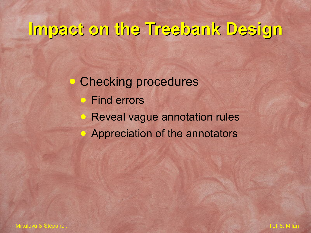### **Impact on the Treebank Design**

**• Checking procedures** ● Find errors **Reveal vague annotation rules • Appreciation of the annotators** 

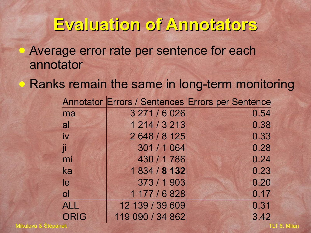#### **Evaluation of Annotators**

**• Average error rate per sentence for each** annotator

Ranks remain the same in long-term monitoring

|                |                  | Annotator Errors / Sentences Errors per Sentence |
|----------------|------------------|--------------------------------------------------|
| ma             | 3 271 / 6 0 26   | 0.54                                             |
| al             | 1 214 / 3 213    | 0.38                                             |
| $\dot{N}$      | 2 648 / 8 125    | 0.33                                             |
| <b>T</b>       | 301 / 1064       | 0.28                                             |
| mi             | 430 / 1786       | 0.24                                             |
| ka             | 1834 / 8132      | 0.23                                             |
| le             | 373 / 1903       | 0.20                                             |
| $\overline{O}$ | 1177 / 6828      | 0.17                                             |
| <b>ALL</b>     | 12 139 / 39 609  | 0.31                                             |
| <b>ORIG</b>    | 119 090 / 34 862 | 3.42                                             |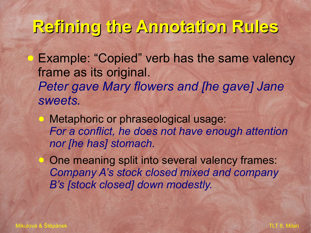#### **Refining the Annotation Rules**

**• Example: "Copied" verb has the same valency** frame as its original. *Peter gave Mary flowers and [he gave] Jane sweets.*

● Metaphoric or phraseological usage: *For a conflict, he does not have enough attention nor [he has] stomach.*

• One meaning split into several valency frames: *Company A's stock closed mixed and company B's [stock closed] down modestly.*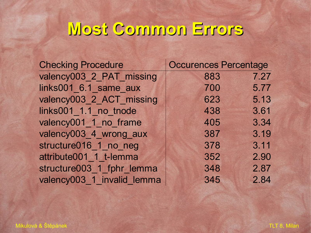### **Most Common Errors**

| <b>Checking Procedure</b>  | Occurences Percentage |      |
|----------------------------|-----------------------|------|
| valency003 2 PAT missing   | 883                   | 7.27 |
| links001 6.1 same aux      | 700                   | 5.77 |
| valency003 2 ACT missing   | 623                   | 5.13 |
| links001_1.1_no_tnode      | 438                   | 3.61 |
| valency001_1_no_frame      | 405                   | 3.34 |
| valency003 4 wrong aux     | 387                   | 3.19 |
| structure016 1 no neg      | 378                   | 3.11 |
| attribute001 1 t-lemma     | 352                   | 2.90 |
| structure003 1 fphr lemma  | 348                   | 2.87 |
| valency003 1 invalid lemma | 345                   | 2.84 |